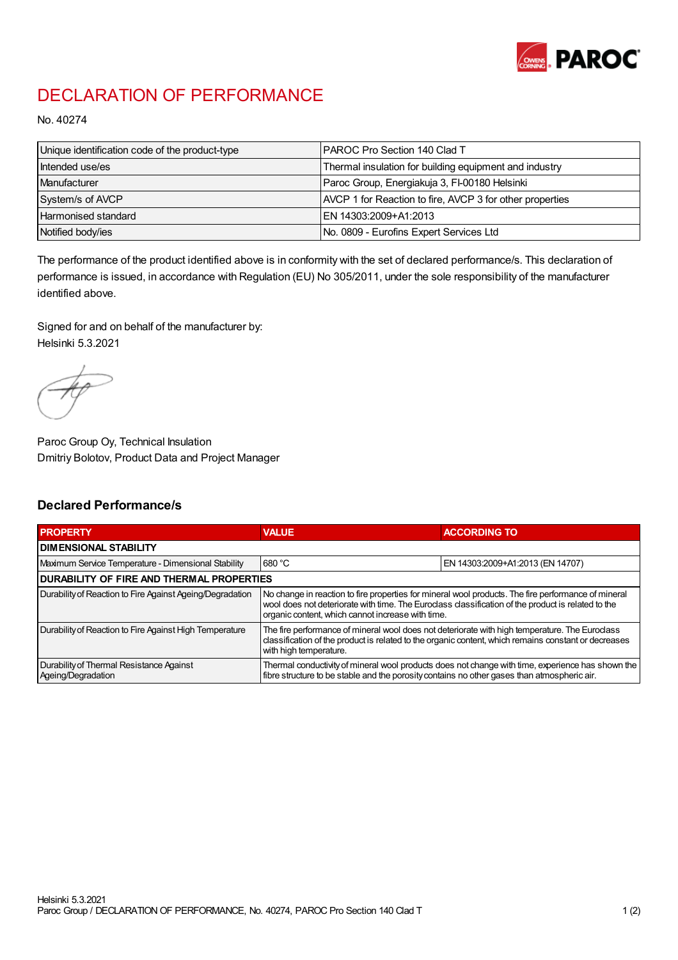

## DECLARATION OF PERFORMANCE

No. 40274

| Unique identification code of the product-type | IPAROC Pro Section 140 Clad T                            |
|------------------------------------------------|----------------------------------------------------------|
| Intended use/es                                | Thermal insulation for building equipment and industry   |
| Manufacturer                                   | Paroc Group, Energiakuja 3, FI-00180 Helsinki            |
| System/s of AVCP                               | AVCP 1 for Reaction to fire, AVCP 3 for other properties |
| Harmonised standard                            | IEN 14303:2009+A1:2013                                   |
| Notified body/ies                              | No. 0809 - Eurofins Expert Services Ltd                  |

The performance of the product identified above is in conformity with the set of declared performance/s. This declaration of performance is issued, in accordance with Regulation (EU) No 305/2011, under the sole responsibility of the manufacturer identified above.

Signed for and on behalf of the manufacturer by: Helsinki 5.3.2021

Paroc Group Oy, Technical Insulation Dmitriy Bolotov, Product Data and Project Manager

## Declared Performance/s

| <b>PROPERTY</b>                                                | <b>VALUE</b>                                                                                                                                                                                                                                                   | <b>ACCORDING TO.</b>             |  |
|----------------------------------------------------------------|----------------------------------------------------------------------------------------------------------------------------------------------------------------------------------------------------------------------------------------------------------------|----------------------------------|--|
| <b>DIMENSIONAL STABILITY</b>                                   |                                                                                                                                                                                                                                                                |                                  |  |
| Maximum Service Temperature - Dimensional Stability            | 680 °C                                                                                                                                                                                                                                                         | EN 14303:2009+A1:2013 (EN 14707) |  |
| <b>DURABILITY OF FIRE AND THERMAL PROPERTIES</b>               |                                                                                                                                                                                                                                                                |                                  |  |
| Durability of Reaction to Fire Against Ageing/Degradation      | No change in reaction to fire properties for mineral wool products. The fire performance of mineral<br>wool does not deteriorate with time. The Euroclass classification of the product is related to the<br>organic content, which cannot increase with time. |                                  |  |
| Durability of Reaction to Fire Against High Temperature        | The fire performance of mineral wool does not deteriorate with high temperature. The Euroclass<br>classification of the product is related to the organic content, which remains constant or decreases<br>with high temperature.                               |                                  |  |
| Durability of Thermal Resistance Against<br>Ageing/Degradation | Thermal conductivity of mineral wool products does not change with time, experience has shown the<br>fibre structure to be stable and the porosity contains no other gases than atmospheric air.                                                               |                                  |  |